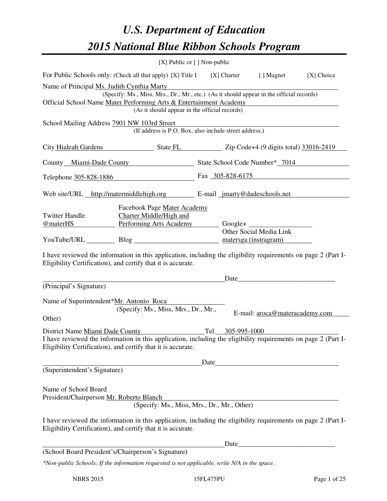# *U.S. Department of Education 2015 National Blue Ribbon Schools Program*

|                                                                                                                                        |                                                                                                                                                                                | [X] Public or [] Non-public |                                |              |  |  |  |
|----------------------------------------------------------------------------------------------------------------------------------------|--------------------------------------------------------------------------------------------------------------------------------------------------------------------------------|-----------------------------|--------------------------------|--------------|--|--|--|
|                                                                                                                                        | For Public Schools only: (Check all that apply) [X] Title I [X] Charter                                                                                                        |                             | [ ] Magnet                     | $[X]$ Choice |  |  |  |
| Name of Principal Ms. Judith Cynthia Marty<br>(Specify: Ms., Miss, Mrs., Dr., Mr., etc.) (As it should appear in the official records) |                                                                                                                                                                                |                             |                                |              |  |  |  |
|                                                                                                                                        |                                                                                                                                                                                |                             |                                |              |  |  |  |
| Official School Name Mater Performing Arts & Entertainment Academy<br>(As it should appear in the official records)                    |                                                                                                                                                                                |                             |                                |              |  |  |  |
|                                                                                                                                        | School Mailing Address 7901 NW 103rd Street                                                                                                                                    |                             |                                |              |  |  |  |
|                                                                                                                                        | (If address is P.O. Box, also include street address.)                                                                                                                         |                             |                                |              |  |  |  |
|                                                                                                                                        | City Hialeah Gardens State FL Zip Code+4 (9 digits total) 33016-2419                                                                                                           |                             |                                |              |  |  |  |
|                                                                                                                                        | County Miami-Dade County State School Code Number* 7014                                                                                                                        |                             |                                |              |  |  |  |
|                                                                                                                                        |                                                                                                                                                                                | Fax 305-828-6175            |                                |              |  |  |  |
|                                                                                                                                        | Telephone 305-828-1886                                                                                                                                                         |                             |                                |              |  |  |  |
|                                                                                                                                        | Web site/URL http://matermiddlehigh.org E-mail jmarty@dadeschools.net                                                                                                          |                             |                                |              |  |  |  |
|                                                                                                                                        | Facebook Page Mater Academy                                                                                                                                                    |                             |                                |              |  |  |  |
| <b>Twitter Handle</b>                                                                                                                  | Charter Middle/High and                                                                                                                                                        |                             |                                |              |  |  |  |
| @materHS                                                                                                                               | Performing Arts Academy Google+                                                                                                                                                |                             |                                |              |  |  |  |
|                                                                                                                                        |                                                                                                                                                                                |                             | Other Social Media Link        |              |  |  |  |
|                                                                                                                                        | YouTube/URL Blog Blog matersga (instragram)                                                                                                                                    |                             |                                |              |  |  |  |
| (Principal's Signature)                                                                                                                | I have reviewed the information in this application, including the eligibility requirements on page 2 (Part I-<br>Eligibility Certification), and certify that it is accurate. |                             | Date                           |              |  |  |  |
|                                                                                                                                        |                                                                                                                                                                                |                             |                                |              |  |  |  |
| Name of Superintendent*Mr. Antonio Roca                                                                                                |                                                                                                                                                                                |                             |                                |              |  |  |  |
|                                                                                                                                        | (Specify: Ms., Miss, Mrs., Dr., Mr.,                                                                                                                                           |                             | E-mail: aroca@materacademy.com |              |  |  |  |
| Other)                                                                                                                                 |                                                                                                                                                                                |                             |                                |              |  |  |  |
| District Name Miami Dade County                                                                                                        |                                                                                                                                                                                | Tel. 305-995-1000           |                                |              |  |  |  |
|                                                                                                                                        | I have reviewed the information in this application, including the eligibility requirements on page 2 (Part I-<br>Eligibility Certification), and certify that it is accurate. |                             |                                |              |  |  |  |
|                                                                                                                                        |                                                                                                                                                                                |                             |                                |              |  |  |  |
| (Superintendent's Signature)                                                                                                           |                                                                                                                                                                                |                             |                                |              |  |  |  |
|                                                                                                                                        |                                                                                                                                                                                |                             |                                |              |  |  |  |
| Name of School Board<br>President/Chairperson Mr. Roberto Blanch                                                                       |                                                                                                                                                                                |                             |                                |              |  |  |  |
|                                                                                                                                        | (Specify: Ms., Miss, Mrs., Dr., Mr., Other)                                                                                                                                    |                             |                                |              |  |  |  |
|                                                                                                                                        | I have reviewed the information in this application, including the eligibility requirements on page 2 (Part I-<br>Eligibility Certification), and certify that it is accurate. |                             |                                |              |  |  |  |
|                                                                                                                                        |                                                                                                                                                                                |                             | Date                           |              |  |  |  |
|                                                                                                                                        | (School Board President's/Chairperson's Signature)                                                                                                                             |                             |                                |              |  |  |  |
|                                                                                                                                        | *Non-public Schools: If the information requested is not applicable, write N/A in the space.                                                                                   |                             |                                |              |  |  |  |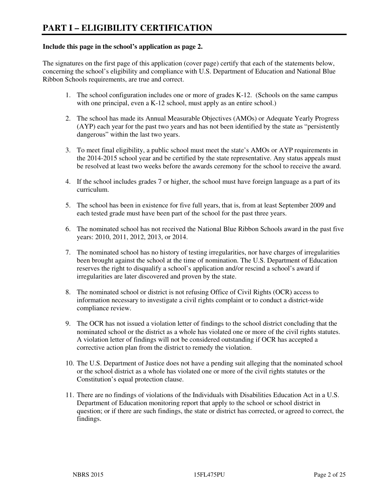#### **Include this page in the school's application as page 2.**

The signatures on the first page of this application (cover page) certify that each of the statements below, concerning the school's eligibility and compliance with U.S. Department of Education and National Blue Ribbon Schools requirements, are true and correct.

- 1. The school configuration includes one or more of grades K-12. (Schools on the same campus with one principal, even a K-12 school, must apply as an entire school.)
- 2. The school has made its Annual Measurable Objectives (AMOs) or Adequate Yearly Progress (AYP) each year for the past two years and has not been identified by the state as "persistently dangerous" within the last two years.
- 3. To meet final eligibility, a public school must meet the state's AMOs or AYP requirements in the 2014-2015 school year and be certified by the state representative. Any status appeals must be resolved at least two weeks before the awards ceremony for the school to receive the award.
- 4. If the school includes grades 7 or higher, the school must have foreign language as a part of its curriculum.
- 5. The school has been in existence for five full years, that is, from at least September 2009 and each tested grade must have been part of the school for the past three years.
- 6. The nominated school has not received the National Blue Ribbon Schools award in the past five years: 2010, 2011, 2012, 2013, or 2014.
- 7. The nominated school has no history of testing irregularities, nor have charges of irregularities been brought against the school at the time of nomination. The U.S. Department of Education reserves the right to disqualify a school's application and/or rescind a school's award if irregularities are later discovered and proven by the state.
- 8. The nominated school or district is not refusing Office of Civil Rights (OCR) access to information necessary to investigate a civil rights complaint or to conduct a district-wide compliance review.
- 9. The OCR has not issued a violation letter of findings to the school district concluding that the nominated school or the district as a whole has violated one or more of the civil rights statutes. A violation letter of findings will not be considered outstanding if OCR has accepted a corrective action plan from the district to remedy the violation.
- 10. The U.S. Department of Justice does not have a pending suit alleging that the nominated school or the school district as a whole has violated one or more of the civil rights statutes or the Constitution's equal protection clause.
- 11. There are no findings of violations of the Individuals with Disabilities Education Act in a U.S. Department of Education monitoring report that apply to the school or school district in question; or if there are such findings, the state or district has corrected, or agreed to correct, the findings.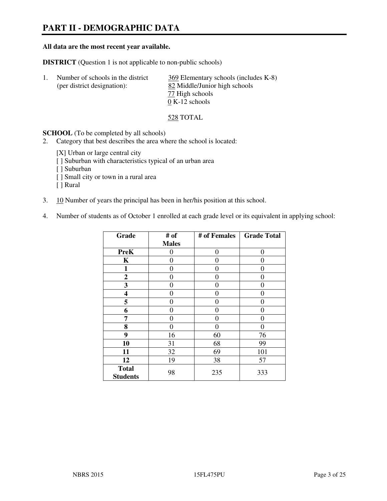# **PART II - DEMOGRAPHIC DATA**

#### **All data are the most recent year available.**

**DISTRICT** (Question 1 is not applicable to non-public schools)

| Number of schools in the district | 369 Elementary schools (includes K-8) |
|-----------------------------------|---------------------------------------|
| (per district designation):       | 82 Middle/Junior high schools         |
|                                   | 77 High schools                       |
|                                   | $0 K-12$ schools                      |

528 TOTAL

**SCHOOL** (To be completed by all schools)

- 2. Category that best describes the area where the school is located:
	- [X] Urban or large central city
	- [ ] Suburban with characteristics typical of an urban area
	- [ ] Suburban
	- [ ] Small city or town in a rural area
	- [ ] Rural
- 3. 10 Number of years the principal has been in her/his position at this school.
- 4. Number of students as of October 1 enrolled at each grade level or its equivalent in applying school:

| Grade                           | # of         | # of Females | <b>Grade Total</b> |
|---------------------------------|--------------|--------------|--------------------|
|                                 | <b>Males</b> |              |                    |
| <b>PreK</b>                     | 0            | 0            | $\boldsymbol{0}$   |
| K                               | 0            | 0            | $\theta$           |
| 1                               | 0            | 0            | $\theta$           |
| $\mathbf{2}$                    | 0            | 0            | 0                  |
| 3                               | 0            | 0            | 0                  |
| 4                               | 0            | 0            | 0                  |
| 5                               | 0            | 0            | $\theta$           |
| 6                               | 0            | $\theta$     | 0                  |
| 7                               | 0            | $\theta$     | 0                  |
| 8                               | 0            | 0            | 0                  |
| 9                               | 16           | 60           | 76                 |
| 10                              | 31           | 68           | 99                 |
| 11                              | 32           | 69           | 101                |
| 12                              | 19           | 38           | 57                 |
| <b>Total</b><br><b>Students</b> | 98           | 235          | 333                |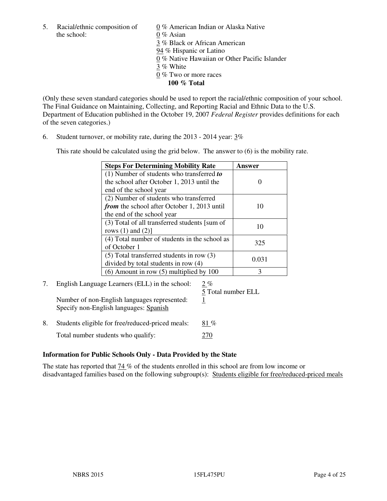the school: 0 % Asian

5. Racial/ethnic composition of  $0\%$  American Indian or Alaska Native 3 % Black or African American 94 % Hispanic or Latino 0 % Native Hawaiian or Other Pacific Islander 3 % White 0 % Two or more races **100 % Total** 

(Only these seven standard categories should be used to report the racial/ethnic composition of your school. The Final Guidance on Maintaining, Collecting, and Reporting Racial and Ethnic Data to the U.S. Department of Education published in the October 19, 2007 *Federal Register* provides definitions for each of the seven categories.)

6. Student turnover, or mobility rate, during the 2013 - 2014 year: 3%

This rate should be calculated using the grid below. The answer to (6) is the mobility rate.

| <b>Steps For Determining Mobility Rate</b>         | Answer |
|----------------------------------------------------|--------|
| $(1)$ Number of students who transferred to        |        |
| the school after October 1, 2013 until the         |        |
| end of the school year                             |        |
| (2) Number of students who transferred             |        |
| <i>from</i> the school after October 1, 2013 until | 10     |
| the end of the school year                         |        |
| (3) Total of all transferred students [sum of      | 10     |
| rows $(1)$ and $(2)$ ]                             |        |
| (4) Total number of students in the school as      | 325    |
| of October 1                                       |        |
| $(5)$ Total transferred students in row $(3)$      | 0.031  |
| divided by total students in row (4)               |        |
| $(6)$ Amount in row $(5)$ multiplied by 100        | 3      |

# 7. English Language Learners (ELL) in the school: 2 %

Number of non-English languages represented: 1 Specify non-English languages: Spanish

5 Total number ELL

8. Students eligible for free/reduced-priced meals:  $81\%$ Total number students who qualify: 270

# **Information for Public Schools Only - Data Provided by the State**

The state has reported that  $74\%$  of the students enrolled in this school are from low income or disadvantaged families based on the following subgroup(s): Students eligible for free/reduced-priced meals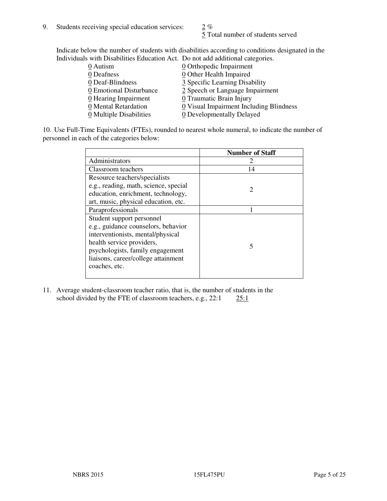$\frac{5}{5}$  Total number of students served

Indicate below the number of students with disabilities according to conditions designated in the Individuals with Disabilities Education Act. Do not add additional categories.

| 0 Autism                           | $Q$ Orthopedic Impairment               |
|------------------------------------|-----------------------------------------|
| 0 Deafness                         | 0 Other Health Impaired                 |
| 0 Deaf-Blindness                   | 3 Specific Learning Disability          |
| 0 Emotional Disturbance            | 2 Speech or Language Impairment         |
| $\underline{0}$ Hearing Impairment | 0 Traumatic Brain Injury                |
| 0 Mental Retardation               | 0 Visual Impairment Including Blindness |
| 0 Multiple Disabilities            | 0 Developmentally Delayed               |
|                                    |                                         |

10. Use Full-Time Equivalents (FTEs), rounded to nearest whole numeral, to indicate the number of personnel in each of the categories below:

|                                       | <b>Number of Staff</b> |
|---------------------------------------|------------------------|
| Administrators                        |                        |
| Classroom teachers                    | 14                     |
| Resource teachers/specialists         |                        |
| e.g., reading, math, science, special | $\mathcal{D}$          |
| education, enrichment, technology,    |                        |
| art, music, physical education, etc.  |                        |
| Paraprofessionals                     |                        |
| Student support personnel             |                        |
| e.g., guidance counselors, behavior   |                        |
| interventionists, mental/physical     |                        |
| health service providers,             |                        |
| psychologists, family engagement      |                        |
| liaisons, career/college attainment   |                        |
| coaches, etc.                         |                        |
|                                       |                        |

11. Average student-classroom teacher ratio, that is, the number of students in the school divided by the FTE of classroom teachers, e.g.,  $22:1$   $25:1$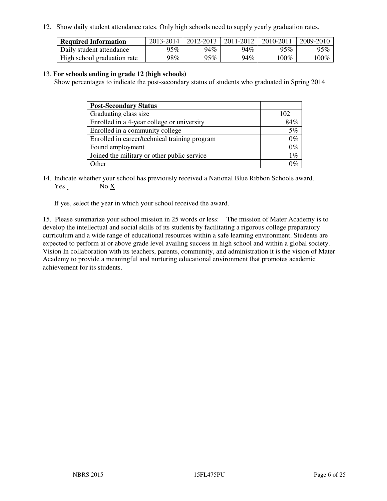12. Show daily student attendance rates. Only high schools need to supply yearly graduation rates.

| <b>Required Information</b> | 2013-2014 | 2012-2013 | 2011-2012 | 2010-2011 | 2009-2010 |
|-----------------------------|-----------|-----------|-----------|-----------|-----------|
| Daily student attendance    | 95%       | 94%       | 94%       | 95%       | 95%       |
| High school graduation rate | 98%       | 95%       | 94%       | $100\%$   | $100\%$   |

#### 13. **For schools ending in grade 12 (high schools)**

Show percentages to indicate the post-secondary status of students who graduated in Spring 2014

| <b>Post-Secondary Status</b>                  |       |
|-----------------------------------------------|-------|
| Graduating class size                         | 102   |
| Enrolled in a 4-year college or university    | 84%   |
| Enrolled in a community college               | 5%    |
| Enrolled in career/technical training program | $0\%$ |
| Found employment                              | $0\%$ |
| Joined the military or other public service   | $1\%$ |
| Other                                         |       |

14. Indicate whether your school has previously received a National Blue Ribbon Schools award. Yes No X

If yes, select the year in which your school received the award.

15. Please summarize your school mission in 25 words or less: The mission of Mater Academy is to develop the intellectual and social skills of its students by facilitating a rigorous college preparatory curriculum and a wide range of educational resources within a safe learning environment. Students are expected to perform at or above grade level availing success in high school and within a global society. Vision In collaboration with its teachers, parents, community, and administration it is the vision of Mater Academy to provide a meaningful and nurturing educational environment that promotes academic achievement for its students.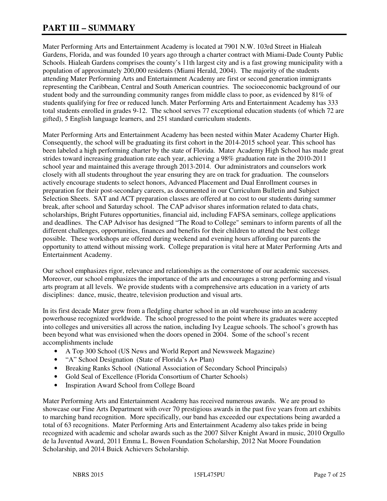# **PART III – SUMMARY**

Mater Performing Arts and Entertainment Academy is located at 7901 N.W. 103rd Street in Hialeah Gardens, Florida, and was founded 10 years ago through a charter contract with Miami-Dade County Public Schools. Hialeah Gardens comprises the county's 11th largest city and is a fast growing municipality with a population of approximately 200,000 residents (Miami Herald, 2004). The majority of the students attending Mater Performing Arts and Entertainment Academy are first or second generation immigrants representing the Caribbean, Central and South American countries. The socioeconomic background of our student body and the surrounding community ranges from middle class to poor, as evidenced by 81% of students qualifying for free or reduced lunch. Mater Performing Arts and Entertainment Academy has 333 total students enrolled in grades 9-12. The school serves 77 exceptional education students (of which 72 are gifted), 5 English language learners, and 251 standard curriculum students.

Mater Performing Arts and Entertainment Academy has been nested within Mater Academy Charter High. Consequently, the school will be graduating its first cohort in the 2014-2015 school year. This school has been labeled a high performing charter by the state of Florida. Mater Academy High School has made great strides toward increasing graduation rate each year, achieving a 98% graduation rate in the 2010-2011 school year and maintained this average through 2013-2014. Our administrators and counselors work closely with all students throughout the year ensuring they are on track for graduation. The counselors actively encourage students to select honors, Advanced Placement and Dual Enrollment courses in preparation for their post-secondary careers, as documented in our Curriculum Bulletin and Subject Selection Sheets. SAT and ACT preparation classes are offered at no cost to our students during summer break, after school and Saturday school. The CAP advisor shares information related to data chats, scholarships, Bright Futures opportunities, financial aid, including FAFSA seminars, college applications and deadlines. The CAP Advisor has designed "The Road to College" seminars to inform parents of all the different challenges, opportunities, finances and benefits for their children to attend the best college possible. These workshops are offered during weekend and evening hours affording our parents the opportunity to attend without missing work. College preparation is vital here at Mater Performing Arts and Entertainment Academy.

Our school emphasizes rigor, relevance and relationships as the cornerstone of our academic successes. Moreover, our school emphasizes the importance of the arts and encourages a strong performing and visual arts program at all levels. We provide students with a comprehensive arts education in a variety of arts disciplines: dance, music, theatre, television production and visual arts.

In its first decade Mater grew from a fledgling charter school in an old warehouse into an academy powerhouse recognized worldwide. The school progressed to the point where its graduates were accepted into colleges and universities all across the nation, including Ivy League schools. The school's growth has been beyond what was envisioned when the doors opened in 2004. Some of the school's recent accomplishments include

- A Top 300 School (US News and World Report and Newsweek Magazine)
- "A" School Designation (State of Florida's A+ Plan)
- Breaking Ranks School (National Association of Secondary School Principals)
- Gold Seal of Excellence (Florida Consortium of Charter Schools)
- Inspiration Award School from College Board

Mater Performing Arts and Entertainment Academy has received numerous awards. We are proud to showcase our Fine Arts Department with over 70 prestigious awards in the past five years from art exhibits to marching band recognition. More specifically, our band has exceeded our expectations being awarded a total of 63 recognitions. Mater Performing Arts and Entertainment Academy also takes pride in being recognized with academic and scholar awards such as the 2007 Silver Knight Award in music, 2010 Orgullo de la Juventud Award, 2011 Emma L. Bowen Foundation Scholarship, 2012 Nat Moore Foundation Scholarship, and 2014 Buick Achievers Scholarship.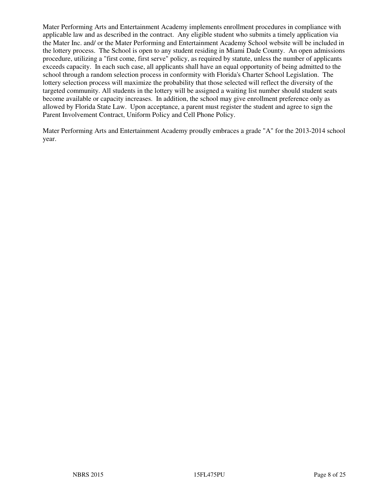Mater Performing Arts and Entertainment Academy implements enrollment procedures in compliance with applicable law and as described in the contract. Any eligible student who submits a timely application via the Mater Inc. and/ or the Mater Performing and Entertainment Academy School website will be included in the lottery process. The School is open to any student residing in Miami Dade County. An open admissions procedure, utilizing a "first come, first serve" policy, as required by statute, unless the number of applicants exceeds capacity. In each such case, all applicants shall have an equal opportunity of being admitted to the school through a random selection process in conformity with Florida's Charter School Legislation. The lottery selection process will maximize the probability that those selected will reflect the diversity of the targeted community. All students in the lottery will be assigned a waiting list number should student seats become available or capacity increases. In addition, the school may give enrollment preference only as allowed by Florida State Law. Upon acceptance, a parent must register the student and agree to sign the Parent Involvement Contract, Uniform Policy and Cell Phone Policy.

Mater Performing Arts and Entertainment Academy proudly embraces a grade "A" for the 2013-2014 school year.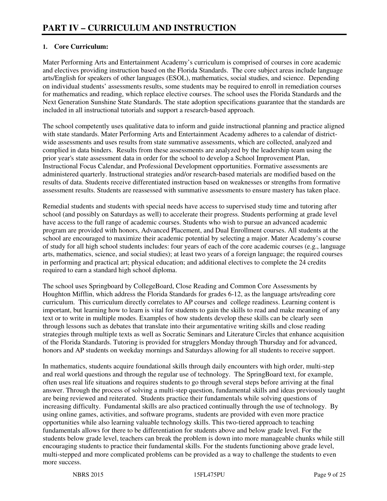# **1. Core Curriculum:**

Mater Performing Arts and Entertainment Academy's curriculum is comprised of courses in core academic and electives providing instruction based on the Florida Standards. The core subject areas include language arts/English for speakers of other languages (ESOL), mathematics, social studies, and science. Depending on individual students' assessments results, some students may be required to enroll in remediation courses for mathematics and reading, which replace elective courses. The school uses the Florida Standards and the Next Generation Sunshine State Standards. The state adoption specifications guarantee that the standards are included in all instructional tutorials and support a research-based approach.

The school competently uses qualitative data to inform and guide instructional planning and practice aligned with state standards. Mater Performing Arts and Entertainment Academy adheres to a calendar of districtwide assessments and uses results from state summative assessments, which are collected, analyzed and complied in data binders. Results from these assessments are analyzed by the leadership team using the prior year's state assessment data in order for the school to develop a School Improvement Plan, Instructional Focus Calendar, and Professional Development opportunities. Formative assessments are administered quarterly. Instructional strategies and/or research-based materials are modified based on the results of data. Students receive differentiated instruction based on weaknesses or strengths from formative assessment results. Students are reassessed with summative assessments to ensure mastery has taken place.

Remedial students and students with special needs have access to supervised study time and tutoring after school (and possibly on Saturdays as well) to accelerate their progress. Students performing at grade level have access to the full range of academic courses. Students who wish to pursue an advanced academic program are provided with honors, Advanced Placement, and Dual Enrollment courses. All students at the school are encouraged to maximize their academic potential by selecting a major. Mater Academy's course of study for all high school students includes: four years of each of the core academic courses (e.g., language arts, mathematics, science, and social studies); at least two years of a foreign language; the required courses in performing and practical art; physical education; and additional electives to complete the 24 credits required to earn a standard high school diploma.

The school uses Springboard by CollegeBoard, Close Reading and Common Core Assessments by Houghton Mifflin, which address the Florida Standards for grades 6-12, as the language arts/reading core curriculum. This curriculum directly correlates to AP courses and college readiness. Learning content is important, but learning how to learn is vital for students to gain the skills to read and make meaning of any text or to write in multiple modes. Examples of how students develop these skills can be clearly seen through lessons such as debates that translate into their argumentative writing skills and close reading strategies through multiple texts as well as Socratic Seminars and Literature Circles that enhance acquisition of the Florida Standards. Tutoring is provided for strugglers Monday through Thursday and for advanced, honors and AP students on weekday mornings and Saturdays allowing for all students to receive support.

In mathematics, students acquire foundational skills through daily encounters with high order, multi-step and real world questions and through the regular use of technology. The SpringBoard text, for example, often uses real life situations and requires students to go through several steps before arriving at the final answer. Through the process of solving a multi-step question, fundamental skills and ideas previously taught are being reviewed and reiterated. Students practice their fundamentals while solving questions of increasing difficulty. Fundamental skills are also practiced continually through the use of technology. By using online games, activities, and software programs, students are provided with even more practice opportunities while also learning valuable technology skills. This two-tiered approach to teaching fundamentals allows for there to be differentiation for students above and below grade level. For the students below grade level, teachers can break the problem is down into more manageable chunks while still encouraging students to practice their fundamental skills. For the students functioning above grade level, multi-stepped and more complicated problems can be provided as a way to challenge the students to even more success.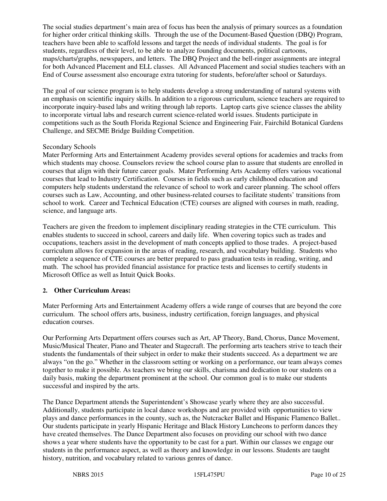The social studies department's main area of focus has been the analysis of primary sources as a foundation for higher order critical thinking skills. Through the use of the Document-Based Question (DBQ) Program, teachers have been able to scaffold lessons and target the needs of individual students. The goal is for students, regardless of their level, to be able to analyze founding documents, political cartoons, maps/charts/graphs, newspapers, and letters. The DBQ Project and the bell-ringer assignments are integral for both Advanced Placement and ELL classes. All Advanced Placement and social studies teachers with an End of Course assessment also encourage extra tutoring for students, before/after school or Saturdays.

The goal of our science program is to help students develop a strong understanding of natural systems with an emphasis on scientific inquiry skills. In addition to a rigorous curriculum, science teachers are required to incorporate inquiry-based labs and writing through lab reports. Laptop carts give science classes the ability to incorporate virtual labs and research current science-related world issues. Students participate in competitions such as the South Florida Regional Science and Engineering Fair, Fairchild Botanical Gardens Challenge, and SECME Bridge Building Competition.

#### Secondary Schools

Mater Performing Arts and Entertainment Academy provides several options for academies and tracks from which students may choose. Counselors review the school course plan to assure that students are enrolled in courses that align with their future career goals. Mater Performing Arts Academy offers various vocational courses that lead to Industry Certification. Courses in fields such as early childhood education and computers help students understand the relevance of school to work and career planning. The school offers courses such as Law, Accounting, and other business-related courses to facilitate students' transitions from school to work. Career and Technical Education (CTE) courses are aligned with courses in math, reading, science, and language arts.

Teachers are given the freedom to implement disciplinary reading strategies in the CTE curriculum. This enables students to succeed in school, careers and daily life. When covering topics such as trades and occupations, teachers assist in the development of math concepts applied to those trades. A project-based curriculum allows for expansion in the areas of reading, research, and vocabulary building. Students who complete a sequence of CTE courses are better prepared to pass graduation tests in reading, writing, and math. The school has provided financial assistance for practice tests and licenses to certify students in Microsoft Office as well as Intuit Quick Books.

# **2. Other Curriculum Areas:**

Mater Performing Arts and Entertainment Academy offers a wide range of courses that are beyond the core curriculum. The school offers arts, business, industry certification, foreign languages, and physical education courses.

Our Performing Arts Department offers courses such as Art, AP Theory, Band, Chorus, Dance Movement, Music/Musical Theater, Piano and Theater and Stagecraft. The performing arts teachers strive to teach their students the fundamentals of their subject in order to make their students succeed. As a department we are always "on the go." Whether in the classroom setting or working on a performance, our team always comes together to make it possible. As teachers we bring our skills, charisma and dedication to our students on a daily basis, making the department prominent at the school. Our common goal is to make our students successful and inspired by the arts.

The Dance Department attends the Superintendent's Showcase yearly where they are also successful. Additionally, students participate in local dance workshops and are provided with opportunities to view plays and dance performances in the county, such as, the Nutcracker Ballet and Hispanic Flamenco Ballet.. Our students participate in yearly Hispanic Heritage and Black History Luncheons to perform dances they have created themselves. The Dance Department also focuses on providing our school with two dance shows a year where students have the opportunity to be cast for a part. Within our classes we engage our students in the performance aspect, as well as theory and knowledge in our lessons. Students are taught history, nutrition, and vocabulary related to various genres of dance.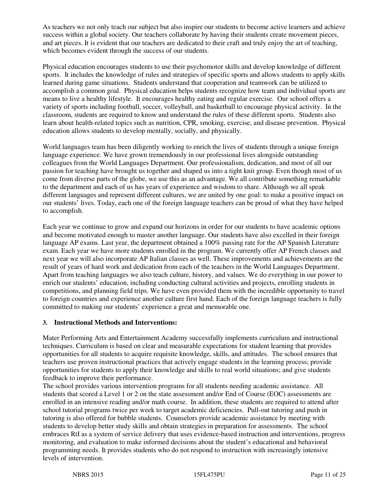As teachers we not only teach our subject but also inspire our students to become active learners and achieve success within a global society. Our teachers collaborate by having their students create movement pieces, and art pieces. It is evident that our teachers are dedicated to their craft and truly enjoy the art of teaching, which becomes evident through the success of our students.

Physical education encourages students to use their psychomotor skills and develop knowledge of different sports. It includes the knowledge of rules and strategies of specific sports and allows students to apply skills learned during game situations. Students understand that cooperation and teamwork can be utilized to accomplish a common goal. Physical education helps students recognize how team and individual sports are means to live a healthy lifestyle. It encourages healthy eating and regular exercise. Our school offers a variety of sports including football, soccer, volleyball, and basketball to encourage physical activity. In the classroom, students are required to know and understand the rules of these different sports. Students also learn about health-related topics such as nutrition, CPR, smoking, exercise, and disease prevention. Physical education allows students to develop mentally, socially, and physically.

World languages team has been diligently working to enrich the lives of students through a unique foreign language experience. We have grown tremendously in our professional lives alongside outstanding colleagues from the World Languages Department. Our professionalism, dedication, and most of all our passion for teaching have brought us together and shaped us into a tight knit group. Even though most of us come from diverse parts of the globe, we use this as an advantage. We all contribute something remarkable to the department and each of us has years of experience and wisdom to share. Although we all speak different languages and represent different cultures, we are united by one goal: to make a positive impact on our students' lives. Today, each one of the foreign language teachers can be proud of what they have helped to accomplish.

Each year we continue to grow and expand our horizons in order for our students to have academic options and become motivated enough to master another language. Our students have also excelled in their foreign language AP exams. Last year, the department obtained a 100% passing rate for the AP Spanish Literature exam. Each year we have more students enrolled in the program. We currently offer AP French classes and next year we will also incorporate AP Italian classes as well. These improvements and achievements are the result of years of hard work and dedication from each of the teachers in the World Languages Department. Apart from teaching languages we also teach culture, history, and values. We do everything in our power to enrich our students' education, including conducting cultural activities and projects, enrolling students in competitions, and planning field trips. We have even provided them with the incredible opportunity to travel to foreign countries and experience another culture first hand. Each of the foreign language teachers is fully committed to making our students' experience a great and memorable one.

#### **3. Instructional Methods and Interventions:**

Mater Performing Arts and Entertainment Academy successfully implements curriculum and instructional techniques. Curriculum is based on clear and measurable expectations for student learning that provides opportunities for all students to acquire requisite knowledge, skills, and attitudes. The school ensures that teachers use proven instructional practices that actively engage students in the learning process; provide opportunities for students to apply their knowledge and skills to real world situations; and give students feedback to improve their performance.

The school provides various intervention programs for all students needing academic assistance. All students that scored a Level 1 or 2 on the state assessment and/or End of Course (EOC) assessments are enrolled in an intensive reading and/or math course. In addition, these students are required to attend after school tutorial programs twice per week to target academic deficiencies. Pull-out tutoring and push in tutoring is also offered for bubble students. Counselors provide academic assistance by meeting with students to develop better study skills and obtain strategies in preparation for assessments. The school embraces RtI as a system of service delivery that uses evidence-based instruction and interventions, progress monitoring, and evaluation to make informed decisions about the student's educational and behavioral programming needs. It provides students who do not respond to instruction with increasingly intensive levels of intervention.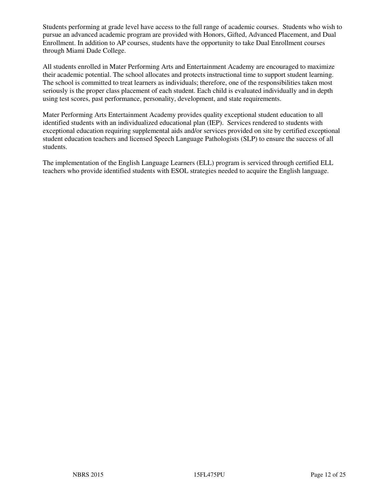Students performing at grade level have access to the full range of academic courses. Students who wish to pursue an advanced academic program are provided with Honors, Gifted, Advanced Placement, and Dual Enrollment. In addition to AP courses, students have the opportunity to take Dual Enrollment courses through Miami Dade College.

All students enrolled in Mater Performing Arts and Entertainment Academy are encouraged to maximize their academic potential. The school allocates and protects instructional time to support student learning. The school is committed to treat learners as individuals; therefore, one of the responsibilities taken most seriously is the proper class placement of each student. Each child is evaluated individually and in depth using test scores, past performance, personality, development, and state requirements.

Mater Performing Arts Entertainment Academy provides quality exceptional student education to all identified students with an individualized educational plan (IEP). Services rendered to students with exceptional education requiring supplemental aids and/or services provided on site by certified exceptional student education teachers and licensed Speech Language Pathologists (SLP) to ensure the success of all students.

The implementation of the English Language Learners (ELL) program is serviced through certified ELL teachers who provide identified students with ESOL strategies needed to acquire the English language.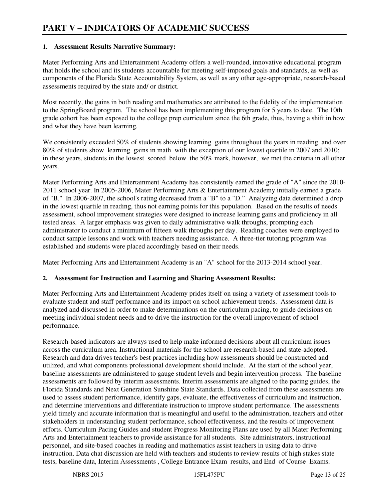### **1. Assessment Results Narrative Summary:**

Mater Performing Arts and Entertainment Academy offers a well-rounded, innovative educational program that holds the school and its students accountable for meeting self-imposed goals and standards, as well as components of the Florida State Accountability System, as well as any other age-appropriate, research-based assessments required by the state and/ or district.

Most recently, the gains in both reading and mathematics are attributed to the fidelity of the implementation to the SpringBoard program. The school has been implementing this program for 5 years to date. The 10th grade cohort has been exposed to the college prep curriculum since the 6th grade, thus, having a shift in how and what they have been learning.

We consistently exceeded 50% of students showing learning gains throughout the years in reading and over 80% of students show learning gains in math with the exception of our lowest quartile in 2007 and 2010; in these years, students in the lowest scored below the  $50\%$  mark, however, we met the criteria in all other years.

Mater Performing Arts and Entertainment Academy has consistently earned the grade of "A" since the 2010- 2011 school year. In 2005-2006, Mater Performing Arts & Entertainment Academy initially earned a grade of "B." In 2006-2007, the school's rating decreased from a "B" to a "D." Analyzing data determined a drop in the lowest quartile in reading, thus not earning points for this population. Based on the results of needs assessment, school improvement strategies were designed to increase learning gains and proficiency in all tested areas. A larger emphasis was given to daily administrative walk throughs, prompting each administrator to conduct a minimum of fifteen walk throughs per day. Reading coaches were employed to conduct sample lessons and work with teachers needing assistance. A three-tier tutoring program was established and students were placed accordingly based on their needs.

Mater Performing Arts and Entertainment Academy is an "A" school for the 2013-2014 school year.

# **2. Assessment for Instruction and Learning and Sharing Assessment Results:**

Mater Performing Arts and Entertainment Academy prides itself on using a variety of assessment tools to evaluate student and staff performance and its impact on school achievement trends. Assessment data is analyzed and discussed in order to make determinations on the curriculum pacing, to guide decisions on meeting individual student needs and to drive the instruction for the overall improvement of school performance.

Research-based indicators are always used to help make informed decisions about all curriculum issues across the curriculum area. Instructional materials for the school are research-based and state-adopted. Research and data drives teacher's best practices including how assessments should be constructed and utilized, and what components professional development should include. At the start of the school year, baseline assessments are administered to gauge student levels and begin intervention process. The baseline assessments are followed by interim assessments. Interim assessments are aligned to the pacing guides, the Florida Standards and Next Generation Sunshine State Standards. Data collected from these assessments are used to assess student performance, identify gaps, evaluate, the effectiveness of curriculum and instruction, and determine interventions and differentiate instruction to improve student performance. The assessments yield timely and accurate information that is meaningful and useful to the administration, teachers and other stakeholders in understanding student performance, school effectiveness, and the results of improvement efforts. Curriculum Pacing Guides and student Progress Monitoring Plans are used by all Mater Performing Arts and Entertainment teachers to provide assistance for all students. Site administrators, instructional personnel, and site-based coaches in reading and mathematics assist teachers in using data to drive instruction. Data chat discussion are held with teachers and students to review results of high stakes state tests, baseline data, Interim Assessments , College Entrance Exam results, and End of Course Exams.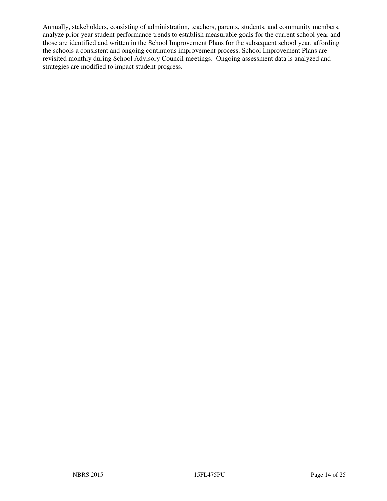Annually, stakeholders, consisting of administration, teachers, parents, students, and community members, analyze prior year student performance trends to establish measurable goals for the current school year and those are identified and written in the School Improvement Plans for the subsequent school year, affording the schools a consistent and ongoing continuous improvement process. School Improvement Plans are revisited monthly during School Advisory Council meetings. Ongoing assessment data is analyzed and strategies are modified to impact student progress.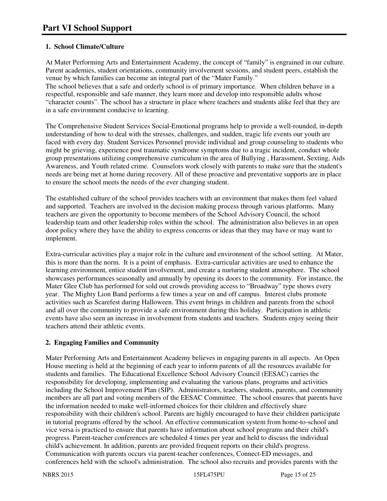# **1. School Climate/Culture**

At Mater Performing Arts and Entertainment Academy, the concept of "family" is engrained in our culture. Parent academies, student orientations, community involvement sessions, and student peers, establish the venue by which families can become an integral part of the "Mater Family."

The school believes that a safe and orderly school is of primary importance. When children behave in a respectful, responsible and safe manner, they learn more and develop into responsible adults whose "character counts". The school has a structure in place where teachers and students alike feel that they are in a safe environment conducive to learning.

The Comprehensive Student Services Social-Emotional programs help to provide a well-rounded, in-depth understanding of how to deal with the stresses, challenges, and sudden, tragic life events our youth are faced with every day. Student Services Personnel provide individual and group counseling to students who might be grieving, experience post traumatic syndrome symptoms due to a tragic incident, conduct whole group presentations utilizing comprehensive curriculum in the area of Bullying , Harassment, Sexting, Aids Awareness, and Youth related crime. Counselors work closely with parents to make sure that the student's needs are being met at home during recovery. All of these proactive and preventative supports are in place to ensure the school meets the needs of the ever changing student.

The established culture of the school provides teachers with an environment that makes them feel valued and supported. Teachers are involved in the decision making process through various platforms. Many teachers are given the opportunity to become members of the School Advisory Council, the school leadership team and other leadership roles within the school. The administration also believes in an open door policy where they have the ability to express concerns or ideas that they may have or may want to implement.

Extra-curricular activities play a major role in the culture and environment of the school setting. At Mater, this is more than the norm. It is a point of emphasis. Extra-curricular activities are used to enhance the learning environment, entice student involvement, and create a nurturing student atmosphere. The school showcases performances seasonally and annually by opening its doors to the community. For instance, the Mater Glee Club has performed for sold out crowds providing access to "Broadway" type shows every year. The Mighty Lion Band performs a few times a year on and off campus. Interest clubs promote activities such as Scarefest during Halloween. This event brings in children and parents from the school and all over the community to provide a safe environment during this holiday. Participation in athletic events have also seen an increase in involvement from students and teachers. Students enjoy seeing their teachers attend their athletic events.

# **2. Engaging Families and Community**

Mater Performing Arts and Entertainment Academy believes in engaging parents in all aspects. An Open House meeting is held at the beginning of each year to inform parents of all the resources available for students and families. The Educational Excellence School Advisory Council (EESAC) carries the responsibility for developing, implementing and evaluating the various plans, programs and activities including the School Improvement Plan (SIP). Administrators, teachers, students, parents, and community members are all part and voting members of the EESAC Committee. The school ensures that parents have the information needed to make well-informed choices for their children and effectively share responsibility with their children's school. Parents are highly encouraged to have their children participate in tutorial programs offered by the school. An effective communication system from home-to-school and vice versa is practiced to ensure that parents have information about school programs and their child's progress. Parent-teacher conferences are scheduled 4 times per year and held to discuss the individual child's achievement. In addition, parents are provided frequent reports on their child's progress. Communication with parents occurs via parent-teacher conferences, Connect-ED messages, and conferences held with the school's administration. The school also recruits and provides parents with the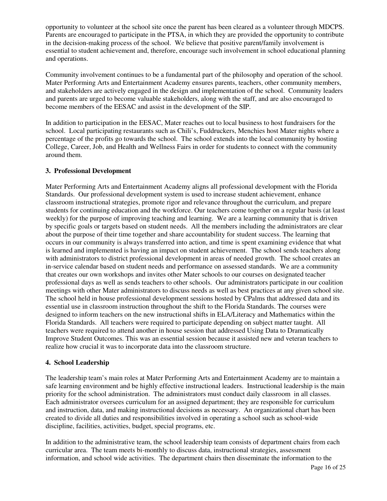opportunity to volunteer at the school site once the parent has been cleared as a volunteer through MDCPS. Parents are encouraged to participate in the PTSA, in which they are provided the opportunity to contribute in the decision-making process of the school. We believe that positive parent/family involvement is essential to student achievement and, therefore, encourage such involvement in school educational planning and operations.

Community involvement continues to be a fundamental part of the philosophy and operation of the school. Mater Performing Arts and Entertainment Academy ensures parents, teachers, other community members, and stakeholders are actively engaged in the design and implementation of the school. Community leaders and parents are urged to become valuable stakeholders, along with the staff, and are also encouraged to become members of the EESAC and assist in the development of the SIP.

In addition to participation in the EESAC, Mater reaches out to local business to host fundraisers for the school. Local participating restaurants such as Chili's, Fuddruckers, Menchies host Mater nights where a percentage of the profits go towards the school. The school extends into the local community by hosting College, Career, Job, and Health and Wellness Fairs in order for students to connect with the community around them.

### **3. Professional Development**

Mater Performing Arts and Entertainment Academy aligns all professional development with the Florida Standards. Our professional development system is used to increase student achievement, enhance classroom instructional strategies, promote rigor and relevance throughout the curriculum, and prepare students for continuing education and the workforce. Our teachers come together on a regular basis (at least weekly) for the purpose of improving teaching and learning. We are a learning community that is driven by specific goals or targets based on student needs. All the members including the administrators are clear about the purpose of their time together and share accountability for student success. The learning that occurs in our community is always transferred into action, and time is spent examining evidence that what is learned and implemented is having an impact on student achievement. The school sends teachers along with administrators to district professional development in areas of needed growth. The school creates an in-service calendar based on student needs and performance on assessed standards. We are a community that creates our own workshops and invites other Mater schools to our courses on designated teacher professional days as well as sends teachers to other schools. Our administrators participate in our coalition meetings with other Mater administrators to discuss needs as well as best practices at any given school site. The school held in house professional development sessions hosted by CPalms that addressed data and its essential use in classroom instruction throughout the shift to the Florida Standards. The courses were designed to inform teachers on the new instructional shifts in ELA/Literacy and Mathematics within the Florida Standards. All teachers were required to participate depending on subject matter taught. All teachers were required to attend another in house session that addressed Using Data to Dramatically Improve Student Outcomes. This was an essential session because it assisted new and veteran teachers to realize how crucial it was to incorporate data into the classroom structure.

#### **4. School Leadership**

The leadership team's main roles at Mater Performing Arts and Entertainment Academy are to maintain a safe learning environment and be highly effective instructional leaders. Instructional leadership is the main priority for the school administration. The administrators must conduct daily classroom in all classes. Each administrator oversees curriculum for an assigned department; they are responsible for curriculum and instruction, data, and making instructional decisions as necessary. An organizational chart has been created to divide all duties and responsibilities involved in operating a school such as school-wide discipline, facilities, activities, budget, special programs, etc.

In addition to the administrative team, the school leadership team consists of department chairs from each curricular area. The team meets bi-monthly to discuss data, instructional strategies, assessment information, and school wide activities. The department chairs then disseminate the information to the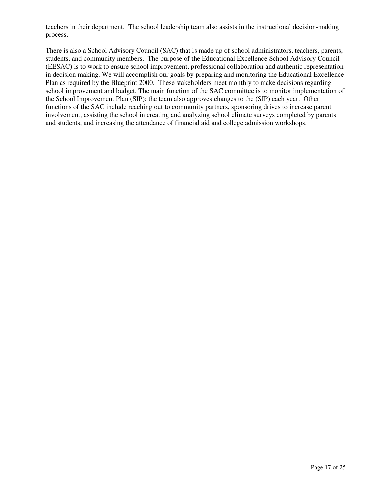teachers in their department. The school leadership team also assists in the instructional decision-making process.

There is also a School Advisory Council (SAC) that is made up of school administrators, teachers, parents, students, and community members. The purpose of the Educational Excellence School Advisory Council (EESAC) is to work to ensure school improvement, professional collaboration and authentic representation in decision making. We will accomplish our goals by preparing and monitoring the Educational Excellence Plan as required by the Blueprint 2000. These stakeholders meet monthly to make decisions regarding school improvement and budget. The main function of the SAC committee is to monitor implementation of the School Improvement Plan (SIP); the team also approves changes to the (SIP) each year. Other functions of the SAC include reaching out to community partners, sponsoring drives to increase parent involvement, assisting the school in creating and analyzing school climate surveys completed by parents and students, and increasing the attendance of financial aid and college admission workshops.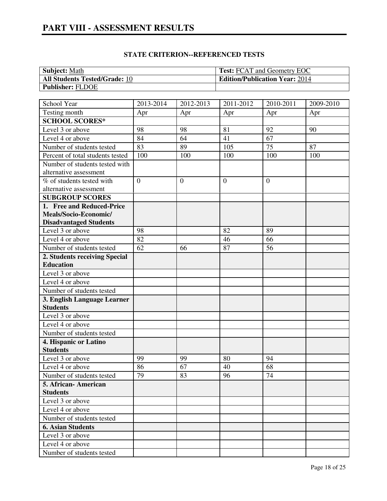| <b>STATE CRITERION--REFERENCED TESTS</b> |
|------------------------------------------|
|------------------------------------------|

| <b>Subject:</b> Math                 | <b>Test:</b> FCAT and Geometry EOC    |
|--------------------------------------|---------------------------------------|
| <b>All Students Tested/Grade: 10</b> | <b>Edition/Publication Year: 2014</b> |
| <b>Publisher: FLDOE</b>              |                                       |

| School Year                      | 2013-2014      | 2012-2013      | 2011-2012      | 2010-2011      | 2009-2010 |
|----------------------------------|----------------|----------------|----------------|----------------|-----------|
| Testing month                    | Apr            | Apr            | Apr            | Apr            | Apr       |
| <b>SCHOOL SCORES*</b>            |                |                |                |                |           |
| Level 3 or above                 | 98             | 98             | 81             | 92             | 90        |
| Level 4 or above                 | 84             | 64             | 41             | 67             |           |
| Number of students tested        | 83             | 89             | 105            | 75             | 87        |
| Percent of total students tested | 100            | 100            | 100            | 100            | 100       |
| Number of students tested with   |                |                |                |                |           |
| alternative assessment           |                |                |                |                |           |
| % of students tested with        | $\overline{0}$ | $\overline{0}$ | $\overline{0}$ | $\overline{0}$ |           |
| alternative assessment           |                |                |                |                |           |
| <b>SUBGROUP SCORES</b>           |                |                |                |                |           |
| 1. Free and Reduced-Price        |                |                |                |                |           |
| Meals/Socio-Economic/            |                |                |                |                |           |
| <b>Disadvantaged Students</b>    |                |                |                |                |           |
| Level 3 or above                 | 98             |                | 82             | 89             |           |
| Level 4 or above                 | 82             |                | 46             | 66             |           |
| Number of students tested        | 62             | 66             | 87             | 56             |           |
| 2. Students receiving Special    |                |                |                |                |           |
| <b>Education</b>                 |                |                |                |                |           |
| Level 3 or above                 |                |                |                |                |           |
| Level 4 or above                 |                |                |                |                |           |
| Number of students tested        |                |                |                |                |           |
| 3. English Language Learner      |                |                |                |                |           |
| <b>Students</b>                  |                |                |                |                |           |
| Level 3 or above                 |                |                |                |                |           |
| Level 4 or above                 |                |                |                |                |           |
| Number of students tested        |                |                |                |                |           |
| 4. Hispanic or Latino            |                |                |                |                |           |
| <b>Students</b>                  |                |                |                |                |           |
| Level 3 or above                 | 99             | 99             | 80             | 94             |           |
| Level 4 or above                 | 86             | 67             | 40             | 68             |           |
| Number of students tested        | 79             | 83             | 96             | 74             |           |
| 5. African-American              |                |                |                |                |           |
| <b>Students</b>                  |                |                |                |                |           |
| Level 3 or above                 |                |                |                |                |           |
| Level 4 or above                 |                |                |                |                |           |
| Number of students tested        |                |                |                |                |           |
| <b>6. Asian Students</b>         |                |                |                |                |           |
| Level 3 or above                 |                |                |                |                |           |
| Level 4 or above                 |                |                |                |                |           |
| Number of students tested        |                |                |                |                |           |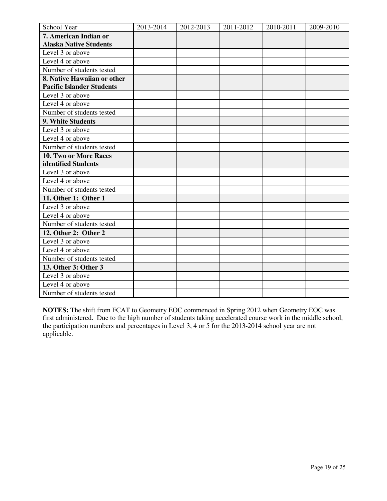| School Year                      | 2013-2014 | 2012-2013 | 2011-2012 | 2010-2011 | 2009-2010 |
|----------------------------------|-----------|-----------|-----------|-----------|-----------|
| 7. American Indian or            |           |           |           |           |           |
| <b>Alaska Native Students</b>    |           |           |           |           |           |
| Level 3 or above                 |           |           |           |           |           |
| Level 4 or above                 |           |           |           |           |           |
| Number of students tested        |           |           |           |           |           |
| 8. Native Hawaiian or other      |           |           |           |           |           |
| <b>Pacific Islander Students</b> |           |           |           |           |           |
| Level 3 or above                 |           |           |           |           |           |
| Level 4 or above                 |           |           |           |           |           |
| Number of students tested        |           |           |           |           |           |
| 9. White Students                |           |           |           |           |           |
| Level 3 or above                 |           |           |           |           |           |
| Level 4 or above                 |           |           |           |           |           |
| Number of students tested        |           |           |           |           |           |
| 10. Two or More Races            |           |           |           |           |           |
| identified Students              |           |           |           |           |           |
| Level 3 or above                 |           |           |           |           |           |
| Level 4 or above                 |           |           |           |           |           |
| Number of students tested        |           |           |           |           |           |
| 11. Other 1: Other 1             |           |           |           |           |           |
| Level 3 or above                 |           |           |           |           |           |
| Level 4 or above                 |           |           |           |           |           |
| Number of students tested        |           |           |           |           |           |
| 12. Other 2: Other 2             |           |           |           |           |           |
| Level 3 or above                 |           |           |           |           |           |
| Level 4 or above                 |           |           |           |           |           |
| Number of students tested        |           |           |           |           |           |
| 13. Other 3: Other 3             |           |           |           |           |           |
| Level 3 or above                 |           |           |           |           |           |
| Level 4 or above                 |           |           |           |           |           |
| Number of students tested        |           |           |           |           |           |

**NOTES:** The shift from FCAT to Geometry EOC commenced in Spring 2012 when Geometry EOC was first administered. Due to the high number of students taking accelerated course work in the middle school, the participation numbers and percentages in Level 3, 4 or 5 for the 2013-2014 school year are not applicable.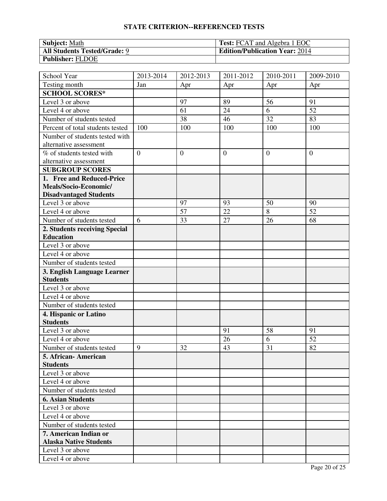# **STATE CRITERION--REFERENCED TESTS**

| <b>Subject: Math</b>                | <b>Test:</b> FCAT and Algebra 1 EOC   |
|-------------------------------------|---------------------------------------|
| <b>All Students Tested/Grade: 9</b> | <b>Edition/Publication Year: 2014</b> |
| <b>Publisher: FLDOE</b>             |                                       |

| School Year                      | 2013-2014      | 2012-2013      | 2011-2012      | 2010-2011       | 2009-2010      |
|----------------------------------|----------------|----------------|----------------|-----------------|----------------|
| Testing month                    | Jan            | Apr            | Apr            | Apr             | Apr            |
| <b>SCHOOL SCORES*</b>            |                |                |                |                 |                |
| Level 3 or above                 |                | 97             | 89             | 56              | 91             |
| Level 4 or above                 |                | 61             | 24             | 6               | 52             |
| Number of students tested        |                | 38             | 46             | $\overline{32}$ | 83             |
| Percent of total students tested | 100            | 100            | 100            | 100             | 100            |
| Number of students tested with   |                |                |                |                 |                |
| alternative assessment           |                |                |                |                 |                |
| % of students tested with        | $\overline{0}$ | $\overline{0}$ | $\overline{0}$ | $\theta$        | $\overline{0}$ |
| alternative assessment           |                |                |                |                 |                |
| <b>SUBGROUP SCORES</b>           |                |                |                |                 |                |
| 1. Free and Reduced-Price        |                |                |                |                 |                |
| Meals/Socio-Economic/            |                |                |                |                 |                |
| <b>Disadvantaged Students</b>    |                |                |                |                 |                |
| Level 3 or above                 |                | 97             | 93             | 50              | 90             |
| Level 4 or above                 |                | 57             | 22             | 8               | 52             |
| Number of students tested        | 6              | 33             | 27             | 26              | 68             |
| 2. Students receiving Special    |                |                |                |                 |                |
| <b>Education</b>                 |                |                |                |                 |                |
| Level 3 or above                 |                |                |                |                 |                |
| Level 4 or above                 |                |                |                |                 |                |
| Number of students tested        |                |                |                |                 |                |
| 3. English Language Learner      |                |                |                |                 |                |
| <b>Students</b>                  |                |                |                |                 |                |
| Level 3 or above                 |                |                |                |                 |                |
| Level 4 or above                 |                |                |                |                 |                |
| Number of students tested        |                |                |                |                 |                |
| 4. Hispanic or Latino            |                |                |                |                 |                |
| <b>Students</b>                  |                |                |                |                 |                |
| Level 3 or above                 |                |                | 91             | 58              | 91             |
| Level 4 or above                 |                |                | 26             | 6               | 52             |
| Number of students tested        | 9              | 32             | 43             | 31              | 82             |
| 5. African-American              |                |                |                |                 |                |
| <b>Students</b>                  |                |                |                |                 |                |
| Level 3 or above                 |                |                |                |                 |                |
| Level 4 or above                 |                |                |                |                 |                |
| Number of students tested        |                |                |                |                 |                |
| <b>6. Asian Students</b>         |                |                |                |                 |                |
| Level 3 or above                 |                |                |                |                 |                |
| Level 4 or above                 |                |                |                |                 |                |
| Number of students tested        |                |                |                |                 |                |
| 7. American Indian or            |                |                |                |                 |                |
| <b>Alaska Native Students</b>    |                |                |                |                 |                |
| Level 3 or above                 |                |                |                |                 |                |
| Level 4 or above                 |                |                |                |                 |                |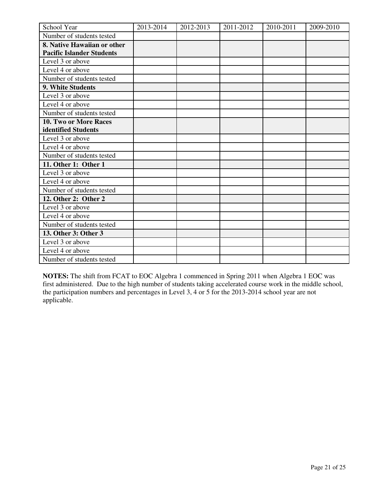| School Year                      | 2013-2014 | 2012-2013 | 2011-2012 | 2010-2011 | 2009-2010 |
|----------------------------------|-----------|-----------|-----------|-----------|-----------|
| Number of students tested        |           |           |           |           |           |
| 8. Native Hawaiian or other      |           |           |           |           |           |
| <b>Pacific Islander Students</b> |           |           |           |           |           |
| Level 3 or above                 |           |           |           |           |           |
| Level 4 or above                 |           |           |           |           |           |
| Number of students tested        |           |           |           |           |           |
| 9. White Students                |           |           |           |           |           |
| Level 3 or above                 |           |           |           |           |           |
| Level 4 or above                 |           |           |           |           |           |
| Number of students tested        |           |           |           |           |           |
| <b>10. Two or More Races</b>     |           |           |           |           |           |
| identified Students              |           |           |           |           |           |
| Level 3 or above                 |           |           |           |           |           |
| Level 4 or above                 |           |           |           |           |           |
| Number of students tested        |           |           |           |           |           |
| 11. Other 1: Other 1             |           |           |           |           |           |
| Level 3 or above                 |           |           |           |           |           |
| Level 4 or above                 |           |           |           |           |           |
| Number of students tested        |           |           |           |           |           |
| 12. Other 2: Other 2             |           |           |           |           |           |
| Level 3 or above                 |           |           |           |           |           |
| Level 4 or above                 |           |           |           |           |           |
| Number of students tested        |           |           |           |           |           |
| 13. Other 3: Other 3             |           |           |           |           |           |
| Level 3 or above                 |           |           |           |           |           |
| Level 4 or above                 |           |           |           |           |           |
| Number of students tested        |           |           |           |           |           |

**NOTES:** The shift from FCAT to EOC Algebra 1 commenced in Spring 2011 when Algebra 1 EOC was first administered. Due to the high number of students taking accelerated course work in the middle school, the participation numbers and percentages in Level 3, 4 or 5 for the 2013-2014 school year are not applicable.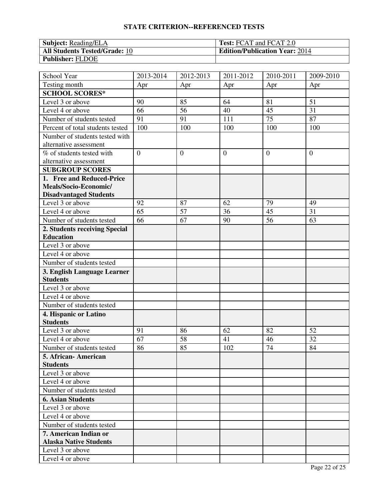# **STATE CRITERION--REFERENCED TESTS**

| <b>Subject:</b> Reading/ELA          | <b>Test: FCAT and FCAT 2.0</b>        |
|--------------------------------------|---------------------------------------|
| <b>All Students Tested/Grade: 10</b> | <b>Edition/Publication Year: 2014</b> |
| <b>Publisher: FLDOE</b>              |                                       |

| School Year                      | 2013-2014      | 2012-2013      | 2011-2012      | $\overline{20}10 - 2011$ | 2009-2010      |
|----------------------------------|----------------|----------------|----------------|--------------------------|----------------|
| Testing month                    | Apr            | Apr            | Apr            | Apr                      | Apr            |
| <b>SCHOOL SCORES*</b>            |                |                |                |                          |                |
| Level 3 or above                 | 90             | 85             | 64             | 81                       | 51             |
| Level 4 or above                 | 66             | 56             | 40             | 45                       | 31             |
| Number of students tested        | 91             | 91             | 111            | $\overline{75}$          | 87             |
| Percent of total students tested | 100            | 100            | 100            | 100                      | 100            |
| Number of students tested with   |                |                |                |                          |                |
| alternative assessment           |                |                |                |                          |                |
| % of students tested with        | $\overline{0}$ | $\overline{0}$ | $\overline{0}$ | $\overline{0}$           | $\overline{0}$ |
| alternative assessment           |                |                |                |                          |                |
| <b>SUBGROUP SCORES</b>           |                |                |                |                          |                |
| 1. Free and Reduced-Price        |                |                |                |                          |                |
| Meals/Socio-Economic/            |                |                |                |                          |                |
| <b>Disadvantaged Students</b>    |                |                |                |                          |                |
| Level 3 or above                 | 92             | 87             | 62             | 79                       | 49             |
| Level 4 or above                 | 65             | 57             | 36             | 45                       | 31             |
| Number of students tested        | 66             | 67             | 90             | 56                       | 63             |
| 2. Students receiving Special    |                |                |                |                          |                |
| <b>Education</b>                 |                |                |                |                          |                |
| Level 3 or above                 |                |                |                |                          |                |
| Level 4 or above                 |                |                |                |                          |                |
| Number of students tested        |                |                |                |                          |                |
| 3. English Language Learner      |                |                |                |                          |                |
| <b>Students</b>                  |                |                |                |                          |                |
| Level 3 or above                 |                |                |                |                          |                |
| Level 4 or above                 |                |                |                |                          |                |
| Number of students tested        |                |                |                |                          |                |
| 4. Hispanic or Latino            |                |                |                |                          |                |
| <b>Students</b>                  |                |                |                |                          |                |
| Level 3 or above                 | 91             | 86             | 62             | 82                       | 52             |
| Level 4 or above                 | 67             | 58             | 41             | 46                       | 32             |
| Number of students tested        | 86             | 85             | 102            | 74                       | 84             |
| 5. African- American             |                |                |                |                          |                |
| <b>Students</b>                  |                |                |                |                          |                |
| Level 3 or above                 |                |                |                |                          |                |
| Level 4 or above                 |                |                |                |                          |                |
| Number of students tested        |                |                |                |                          |                |
| <b>6. Asian Students</b>         |                |                |                |                          |                |
| Level 3 or above                 |                |                |                |                          |                |
| Level 4 or above                 |                |                |                |                          |                |
| Number of students tested        |                |                |                |                          |                |
| 7. American Indian or            |                |                |                |                          |                |
| <b>Alaska Native Students</b>    |                |                |                |                          |                |
| Level 3 or above                 |                |                |                |                          |                |
| Level 4 or above                 |                |                |                |                          |                |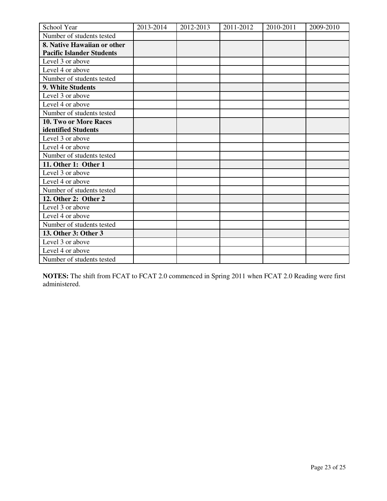| School Year                      | 2013-2014 | 2012-2013 | 2011-2012 | 2010-2011 | 2009-2010 |
|----------------------------------|-----------|-----------|-----------|-----------|-----------|
| Number of students tested        |           |           |           |           |           |
| 8. Native Hawaiian or other      |           |           |           |           |           |
| <b>Pacific Islander Students</b> |           |           |           |           |           |
| Level 3 or above                 |           |           |           |           |           |
| Level 4 or above                 |           |           |           |           |           |
| Number of students tested        |           |           |           |           |           |
| 9. White Students                |           |           |           |           |           |
| Level 3 or above                 |           |           |           |           |           |
| Level 4 or above                 |           |           |           |           |           |
| Number of students tested        |           |           |           |           |           |
| <b>10. Two or More Races</b>     |           |           |           |           |           |
| identified Students              |           |           |           |           |           |
| Level 3 or above                 |           |           |           |           |           |
| Level 4 or above                 |           |           |           |           |           |
| Number of students tested        |           |           |           |           |           |
| 11. Other 1: Other 1             |           |           |           |           |           |
| Level 3 or above                 |           |           |           |           |           |
| Level 4 or above                 |           |           |           |           |           |
| Number of students tested        |           |           |           |           |           |
| 12. Other 2: Other 2             |           |           |           |           |           |
| Level 3 or above                 |           |           |           |           |           |
| Level 4 or above                 |           |           |           |           |           |
| Number of students tested        |           |           |           |           |           |
| 13. Other 3: Other 3             |           |           |           |           |           |
| Level 3 or above                 |           |           |           |           |           |
| Level 4 or above                 |           |           |           |           |           |
| Number of students tested        |           |           |           |           |           |

**NOTES:** The shift from FCAT to FCAT 2.0 commenced in Spring 2011 when FCAT 2.0 Reading were first administered.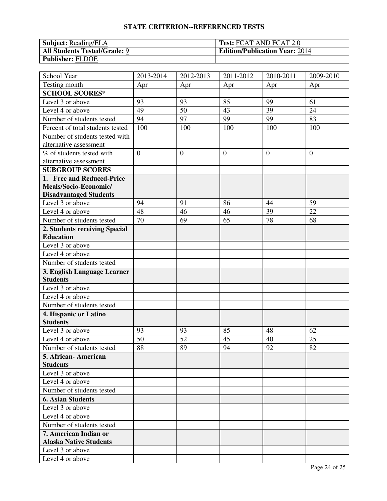# **STATE CRITERION--REFERENCED TESTS**

| <b>Subject:</b> Reading/ELA         | <b>Test: FCAT AND FCAT 2.0</b>        |
|-------------------------------------|---------------------------------------|
| <b>All Students Tested/Grade: 9</b> | <b>Edition/Publication Year: 2014</b> |
| <b>Publisher: FLDOE</b>             |                                       |

| School Year                      | 2013-2014      | 2012-2013      | 2011-2012      | $\overline{20}10 - 2011$ | 2009-2010      |
|----------------------------------|----------------|----------------|----------------|--------------------------|----------------|
| Testing month                    | Apr            | Apr            | Apr            | Apr                      | Apr            |
| <b>SCHOOL SCORES*</b>            |                |                |                |                          |                |
| Level 3 or above                 | 93             | 93             | 85             | 99                       | 61             |
| Level 4 or above                 | 49             | 50             | 43             | 39                       | 24             |
| Number of students tested        | 94             | 97             | 99             | 99                       | 83             |
| Percent of total students tested | 100            | 100            | 100            | 100                      | 100            |
| Number of students tested with   |                |                |                |                          |                |
| alternative assessment           |                |                |                |                          |                |
| % of students tested with        | $\overline{0}$ | $\overline{0}$ | $\overline{0}$ | $\overline{0}$           | $\overline{0}$ |
| alternative assessment           |                |                |                |                          |                |
| <b>SUBGROUP SCORES</b>           |                |                |                |                          |                |
| 1. Free and Reduced-Price        |                |                |                |                          |                |
| Meals/Socio-Economic/            |                |                |                |                          |                |
| <b>Disadvantaged Students</b>    |                |                |                |                          |                |
| Level 3 or above                 | 94             | 91             | 86             | 44                       | 59             |
| Level 4 or above                 | 48             | 46             | 46             | 39                       | 22             |
| Number of students tested        | 70             | 69             | 65             | 78                       | 68             |
| 2. Students receiving Special    |                |                |                |                          |                |
| <b>Education</b>                 |                |                |                |                          |                |
| Level 3 or above                 |                |                |                |                          |                |
| Level 4 or above                 |                |                |                |                          |                |
| Number of students tested        |                |                |                |                          |                |
| 3. English Language Learner      |                |                |                |                          |                |
| <b>Students</b>                  |                |                |                |                          |                |
| Level 3 or above                 |                |                |                |                          |                |
| Level 4 or above                 |                |                |                |                          |                |
| Number of students tested        |                |                |                |                          |                |
| 4. Hispanic or Latino            |                |                |                |                          |                |
| <b>Students</b>                  |                |                |                |                          |                |
| Level 3 or above                 | 93             | 93             | 85             | 48                       | 62             |
| Level 4 or above                 | 50             | 52             | 45             | 40                       | 25             |
| Number of students tested        | 88             | 89             | 94             | 92                       | 82             |
| 5. African- American             |                |                |                |                          |                |
| <b>Students</b>                  |                |                |                |                          |                |
| Level 3 or above                 |                |                |                |                          |                |
| Level 4 or above                 |                |                |                |                          |                |
| Number of students tested        |                |                |                |                          |                |
| <b>6. Asian Students</b>         |                |                |                |                          |                |
| Level 3 or above                 |                |                |                |                          |                |
| Level 4 or above                 |                |                |                |                          |                |
| Number of students tested        |                |                |                |                          |                |
| 7. American Indian or            |                |                |                |                          |                |
| <b>Alaska Native Students</b>    |                |                |                |                          |                |
| Level 3 or above                 |                |                |                |                          |                |
| Level 4 or above                 |                |                |                |                          |                |